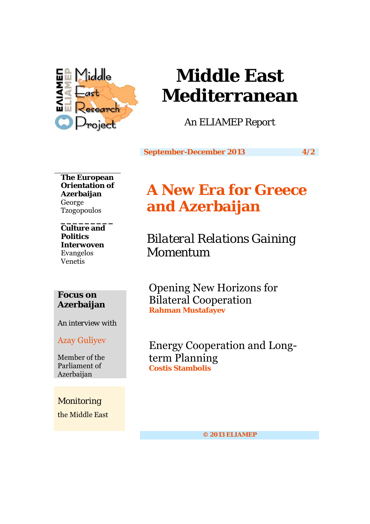

# **Middle East Mediterranean**

*An ELIAMEP Report* 

**September-December 2013 4/2** 

**The European Orientation of Azerbaijan**  George Tzogopoulos

**\_\_\_\_\_\_\_\_\_ Culture and Politics Interwoven**  Evangelos Venetis

# **Focus on Azerbaijan**

*An interview with* 

Azay Guliyev

Member of the Parliament of Azerbaijan

*Monitoring*  the Middle East

# **A New Era for Greece and Azerbaijan**

*Bilateral Relations Gaining Momentum* 

Opening New Horizons for Bilateral Cooperation **Rahman Mustafayev** 

Energy Cooperation and Longterm Planning **Costis Stambolis** 

**© 2013 ELIAMEP**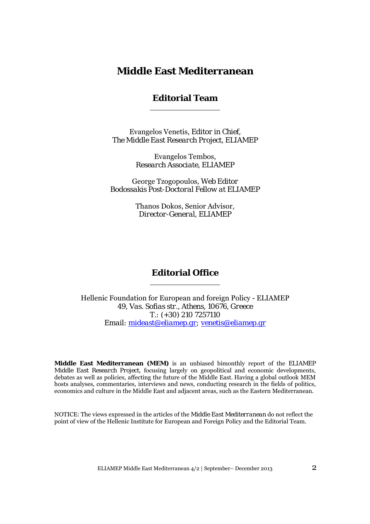# **Middle East Mediterranean**

### **Editorial Team**  \_\_\_\_\_\_\_\_\_\_\_\_\_\_\_

Evangelos Venetis, *Editor in Chief, The Middle East Research Project, ELIAMEP*

> Evangelos Tembos, *Research Associate, ELIAMEP*

George Tzogopoulos, *Web Editor Bodossakis Post-Doctoral Fellow at ELIAMEP* 

> Thanos Dokos, Senior Advisor*, Director-General, ELIAMEP*

### **Editorial Office**  \_\_\_\_\_\_\_\_\_\_\_\_\_\_\_

Hellenic Foundation for European and foreign Policy - ELIAMEP *49, Vas. Sofias str., Athens, 10676, Greece T.: (+30) 210 7257110 Email: mideast@eliamep.gr; venetis@eliamep.gr*

**Middle East Mediterranean (MEM)** is an unbiased bimonthly report of the *ELIAMEP Middle East Research Project*, focusing largely on geopolitical and economic developments, debates as well as policies, affecting the future of the Middle East. Having a global outlook MEM hosts analyses, commentaries, interviews and news, conducting research in the fields of politics, economics and culture in the Middle East and adjacent areas, such as the Eastern Mediterranean.

NOTICE: The views expressed in the articles of the *Middle East Mediterranean* do not reflect the point of view of the Hellenic Institute for European and Foreign Policy and the Editorial Team.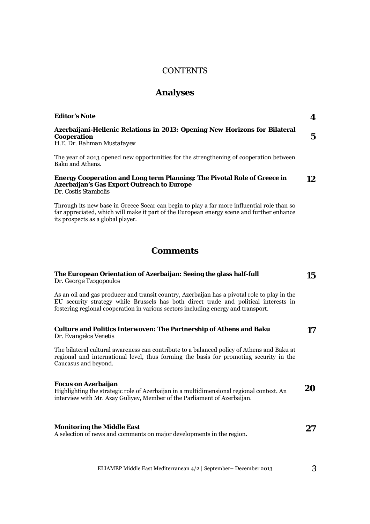#### CONTENTS

### **Analyses**

| <b>Editor's Note</b>                                                                                                    |  |
|-------------------------------------------------------------------------------------------------------------------------|--|
| Azerbaijani-Hellenic Relations in 2013: Opening New Horizons for Bilateral<br>Cooperation<br>H.E. Dr. Rahman Mustafayev |  |
| The year of 2013 opened new opportunities for the strengthening of cooperation between<br>Baku and Athens.              |  |
|                                                                                                                         |  |

#### **Energy Cooperation and Long term Planning: The Pivotal Role of Greece in Azerbaijan's Gas Export Outreach to Europe**  *Dr. Costis Stambolis*  **12**

Through its new base in Greece Socar can begin to play a far more influential role than so far appreciated, which will make it part of the European energy scene and further enhance its prospects as a global player.

# **Comments**

| The European Orientation of Azerbaijan: Seeing the glass half-full<br>Dr. George Tzogopoulos                                                                                         | 15 |
|--------------------------------------------------------------------------------------------------------------------------------------------------------------------------------------|----|
| As an oil and gas producer and transit country, Azerbaijan has a pivotal role to play in the<br>EU security strategy while Brussels has both direct trade and political interests in |    |

| <b>Culture and Politics Interwoven: The Partnership of Athens and Baku</b> | 17 |
|----------------------------------------------------------------------------|----|
| Dr. Evangelos Venetis                                                      |    |

The bilateral cultural awareness can contribute to a balanced policy of Athens and Baku at regional and international level, thus forming the basis for promoting security in the Caucasus and beyond.

fostering regional cooperation in various sectors including energy and transport.

#### **Focus on Azerbaijan**

Highlighting the strategic role of Azerbaijan in a multidimensional regional context. An interview with Mr. Azay Guliyev, Member of the Parliament of Azerbaijan. **20** 

### **Monitoring the Middle East**

A selection of news and comments on major developments in the region.

ELIAMEP Middle East Mediterranean 4/2 | September– December 2013 3

**27**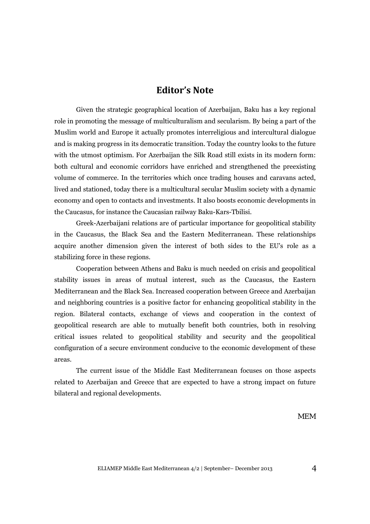# **Editor's Note**

Given the strategic geographical location of Azerbaijan, Baku has a key regional role in promoting the message of multiculturalism and secularism. By being a part of the Muslim world and Europe it actually promotes interreligious and intercultural dialogue and is making progress in its democratic transition. Today the country looks to the future with the utmost optimism. For Azerbaijan the Silk Road still exists in its modern form: both cultural and economic corridors have enriched and strengthened the preexisting volume of commerce. In the territories which once trading houses and caravans acted, lived and stationed, today there is a multicultural secular Muslim society with a dynamic economy and open to contacts and investments. It also boosts economic developments in the Caucasus, for instance the Caucasian railway Baku-Kars-Tbilisi.

Greek-Azerbaijani relations are of particular importance for geopolitical stability in the Caucasus, the Black Sea and the Eastern Mediterranean. These relationships acquire another dimension given the interest of both sides to the EU's role as a stabilizing force in these regions.

Cooperation between Athens and Baku is much needed on crisis and geopolitical stability issues in areas of mutual interest, such as the Caucasus, the Eastern Mediterranean and the Black Sea. Increased cooperation between Greece and Azerbaijan and neighboring countries is a positive factor for enhancing geopolitical stability in the region. Bilateral contacts, exchange of views and cooperation in the context of geopolitical research are able to mutually benefit both countries, both in resolving critical issues related to geopolitical stability and security and the geopolitical configuration of a secure environment conducive to the economic development of these areas.

The current issue of the Middle East Mediterranean focuses on those aspects related to Azerbaijan and Greece that are expected to have a strong impact on future bilateral and regional developments.

*MEM*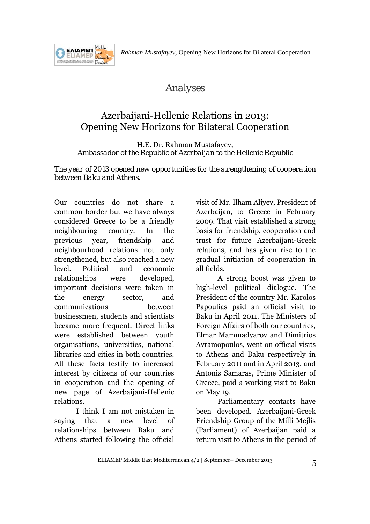*Rahman Mustafayev,* Opening New Horizons for Bilateral Cooperation



# *Analyses*

# Azerbaijani-Hellenic Relations in 2013: Opening New Horizons for Bilateral Cooperation

H.E. Dr. Rahman Mustafayev, *Ambassador of the Republic of Azerbaijan to the Hellenic Republic* 

*The year of 2013 opened new opportunities for the strengthening of cooperation between Baku and Athens.* 

Our countries do not share a common border but we have always considered Greece to be a friendly neighbouring country. In the previous year, friendship and neighbourhood relations not only strengthened, but also reached a new level. Political and economic relationships were developed, important decisions were taken in the energy sector, and communications between businessmen, students and scientists became more frequent. Direct links were established between youth organisations, universities, national libraries and cities in both countries. All these facts testify to increased interest by citizens of our countries in cooperation and the opening of new page of Azerbaijani-Hellenic relations.

I think I am not mistaken in saying that a new level of relationships between Baku and Athens started following the official

visit of Mr. Ilham Aliyev, President of Azerbaijan, to Greece in February 2009. That visit established a strong basis for friendship, cooperation and trust for future Azerbaijani-Greek relations, and has given rise to the gradual initiation of cooperation in all fields.

A strong boost was given to high-level political dialogue. The President of the country Mr. Karolos Papoulias paid an official visit to Baku in April 2011. The Ministers of Foreign Affairs of both our countries, Elmar Mammadyarov and Dimitrios Avramopoulos, went on official visits to Athens and Baku respectively in February 2011 and in April 2013, and Antonis Samaras, Prime Minister of Greece, paid a working visit to Baku on May 19.

Parliamentary contacts have been developed. Azerbaijani-Greek Friendship Group of the Milli Mejlis (Parliament) of Azerbaijan paid a return visit to Athens in the period of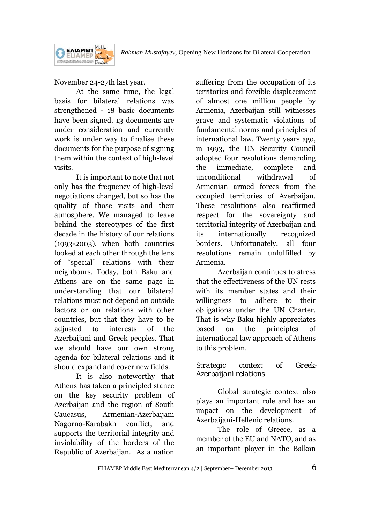

November 24-27th last year.

At the same time, the legal basis for bilateral relations was strengthened - 18 basic documents have been signed. 13 documents are under consideration and currently work is under way to finalise these documents for the purpose of signing them within the context of high-level visits.

It is important to note that not only has the frequency of high-level negotiations changed, but so has the quality of those visits and their atmosphere. We managed to leave behind the stereotypes of the first decade in the history of our relations (1993-2003), when both countries looked at each other through the lens of "special" relations with their neighbours. Today, both Baku and Athens are on the same page in understanding that our bilateral relations must not depend on outside factors or on relations with other countries, but that they have to be adjusted to interests of the Azerbaijani and Greek peoples. That we should have our own strong agenda for bilateral relations and it should expand and cover new fields.

It is also noteworthy that Athens has taken a principled stance on the key security problem of Azerbaijan and the region of South Caucasus, Armenian-Azerbaijani Nagorno-Karabakh conflict, and supports the territorial integrity and inviolability of the borders of the Republic of Azerbaijan. As a nation

suffering from the occupation of its territories and forcible displacement of almost one million people by Armenia, Azerbaijan still witnesses grave and systematic violations of fundamental norms and principles of international law. Twenty years ago, in 1993, the UN Security Council adopted four resolutions demanding the immediate, complete and unconditional withdrawal of Armenian armed forces from the occupied territories of Azerbaijan. These resolutions also reaffirmed respect for the sovereignty and territorial integrity of Azerbaijan and its internationally recognized borders. Unfortunately, all four resolutions remain unfulfilled by Armenia.

Azerbaijan continues to stress that the effectiveness of the UN rests with its member states and their willingness to adhere to their obligations under the UN Charter. That is why Baku highly appreciates based on the principles of international law approach of Athens to this problem.

# *Strategic context of Greek-Azerbaijani relations*

Global strategic context also plays an important role and has an impact on the development of Azerbaijani-Hellenic relations.

The role of Greece, as a member of the EU and NATO, and as an important player in the Balkan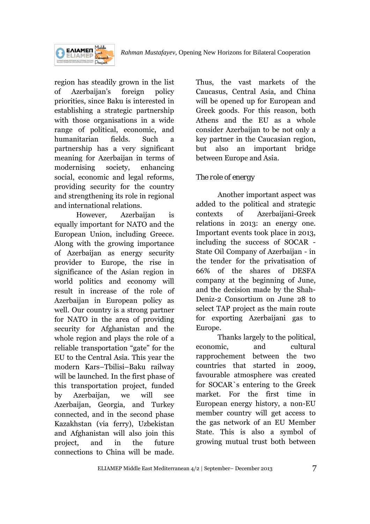

region has steadily grown in the list of Azerbaijan's foreign policy priorities, since Baku is interested in establishing a strategic partnership with those organisations in a wide range of political, economic, and humanitarian fields. Such a partnership has a very significant meaning for Azerbaijan in terms of modernising society, enhancing social, economic and legal reforms, providing security for the country and strengthening its role in regional and international relations.

However, Azerbaijan is equally important for NATO and the European Union, including Greece. Along with the growing importance of Azerbaijan as energy security provider to Europe, the rise in significance of the Asian region in world politics and economy will result in increase of the role of Azerbaijan in European policy as well. Our country is a strong partner for NATO in the area of providing security for Afghanistan and the whole region and plays the role of a reliable transportation "gate" for the EU to the Central Asia. This year the modern Kars–Tbilisi–Baku railway will be launched. In the first phase of this transportation project, funded by Azerbaijan, we will see Azerbaijan, Georgia, and Turkey connected, and in the second phase Kazakhstan (via ferry), Uzbekistan and Afghanistan will also join this project, and in the future connections to China will be made.

Thus, the vast markets of the Caucasus, Central Asia, and China will be opened up for European and Greek goods. For this reason, both Athens and the EU as a whole consider Azerbaijan to be not only a key partner in the Caucasian region, but also an important bridge between Europe and Asia.

# *The role of energy*

Another important aspect was added to the political and strategic contexts of Azerbaijani-Greek relations in 2013: an energy one. Important events took place in 2013, including the success of SOCAR - State Oil Company of Azerbaijan - in the tender for the privatisation of 66% of the shares of DESFA company at the beginning of June, and the decision made by the Shah-Deniz-2 Consortium on June 28 to select TAP project as the main route for exporting Azerbaijani gas to Europe.

Thanks largely to the political, economic, and cultural rapprochement between the two countries that started in 2009, favourable atmosphere was created for SOCAR`s entering to the Greek market. For the first time in European energy history, a non-EU member country will get access to the gas network of an EU Member State. This is also a symbol of growing mutual trust both between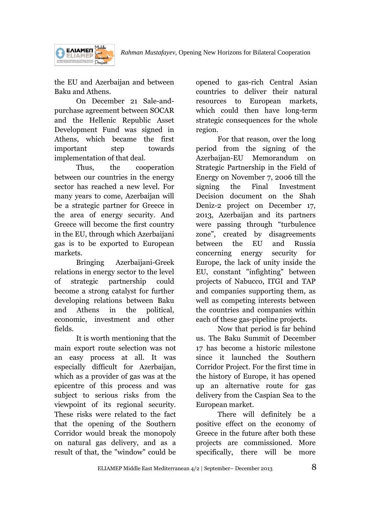

the EU and Azerbaijan and between Baku and Athens.

On December 21 Sale-andpurchase agreement between SOCAR and the Hellenic Republic Asset Development Fund was signed in Athens, which became the first important step towards implementation of that deal.

Thus, the cooperation between our countries in the energy sector has reached a new level. For many years to come, Azerbaijan will be a strategic partner for Greece in the area of energy security. And Greece will become the first country in the EU, through which Azerbaijani gas is to be exported to European markets.

Bringing Azerbaijani-Greek relations in energy sector to the level of strategic partnership could become a strong catalyst for further developing relations between Baku and Athens in the political, economic, investment and other fields.

It is worth mentioning that the main export route selection was not an easy process at all. It was especially difficult for Azerbaijan, which as a provider of gas was at the epicentre of this process and was subject to serious risks from the viewpoint of its regional security. These risks were related to the fact that the opening of the Southern Corridor would break the monopoly on natural gas delivery, and as a result of that, the "window" could be

opened to gas-rich Central Asian countries to deliver their natural resources to European markets, which could then have long-term strategic consequences for the whole region.

For that reason, over the long period from the signing of the Azerbaijan-EU Memorandum on Strategic Partnership in the Field of Energy on November 7, 2006 till the signing the Final Investment Decision document on the Shah Deniz-2 project on December 17, 2013, Azerbaijan and its partners were passing through "turbulence zone", created by disagreements between the EU and Russia concerning energy security for Europe, the lack of unity inside the EU, constant "infighting" between projects of Nabucco, ITGI and TAP and companies supporting them, as well as competing interests between the countries and companies within each of these gas-pipeline projects.

Now that period is far behind us. The Baku Summit of December 17 has become a historic milestone since it launched the Southern Corridor Project. For the first time in the history of Europe, it has opened up an alternative route for gas delivery from the Caspian Sea to the European market.

There will definitely be a positive effect on the economy of Greece in the future after both these projects are commissioned. More specifically, there will be more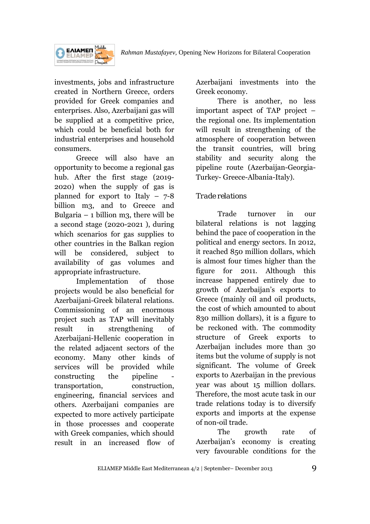



investments, jobs and infrastructure created in Northern Greece, orders provided for Greek companies and enterprises. Also, Azerbaijani gas will be supplied at a competitive price, which could be beneficial both for industrial enterprises and household consumers.

Greece will also have an opportunity to become a regional gas hub. After the first stage (2019- 2020) when the supply of gas is planned for export to Italy  $-7-8$ billion m3, and to Greece and Bulgaria – 1 billion m3, there will be a second stage (2020-2021 ), during which scenarios for gas supplies to other countries in the Balkan region will be considered, subject to availability of gas volumes and appropriate infrastructure.

Implementation of those projects would be also beneficial for Azerbaijani-Greek bilateral relations. Commissioning of an enormous project such as TAP will inevitably result in strengthening of Azerbaijani-Hellenic cooperation in the related adjacent sectors of the economy. Many other kinds of services will be provided while constructing the pipeline transportation, construction, engineering, financial services and others. Azerbaijani companies are expected to more actively participate in those processes and cooperate with Greek companies, which should result in an increased flow of

Azerbaijani investments into the Greek economy.

There is another, no less important aspect of TAP project – the regional one. Its implementation will result in strengthening of the atmosphere of cooperation between the transit countries, will bring stability and security along the pipeline route (Azerbaijan-Georgia-Turkey- Greece-Albania-Italy).

# *Trade relations*

Trade turnover in our bilateral relations is not lagging behind the pace of cooperation in the political and energy sectors. In 2012, it reached 850 million dollars, which is almost four times higher than the figure for 2011. Although this increase happened entirely due to growth of Azerbaijan's exports to Greece (mainly oil and oil products, the cost of which amounted to about 830 million dollars), it is a figure to be reckoned with. The commodity structure of Greek exports to Azerbaijan includes more than 30 items but the volume of supply is not significant. The volume of Greek exports to Azerbaijan in the previous year was about 15 million dollars. Therefore, the most acute task in our trade relations today is to diversify exports and imports at the expense of non-oil trade.

The growth rate of Azerbaijan's economy is creating very favourable conditions for the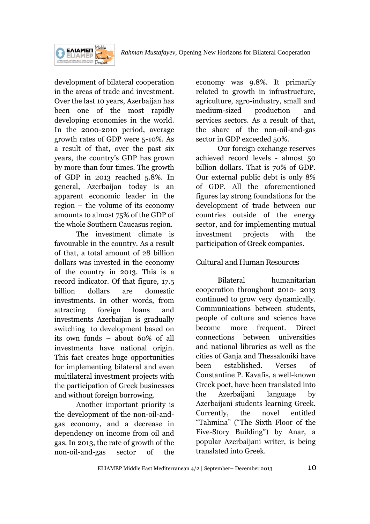



**EAIAMEN** 

The investment climate is favourable in the country. As a result of that, a total amount of 28 billion dollars was invested in the economy of the country in 2013. This is a record indicator. Of that figure, 17.5 billion dollars are domestic investments. In other words, from attracting foreign loans and investments Azerbaijan is gradually switching to development based on its own funds – about 60% of all investments have national origin. This fact creates huge opportunities for implementing bilateral and even multilateral investment projects with the participation of Greek businesses and without foreign borrowing.

Another important priority is the development of the non-oil-andgas economy, and a decrease in dependency on income from oil and gas. In 2013, the rate of growth of the non-oil-and-gas sector of the

economy was 9.8%. It primarily related to growth in infrastructure, agriculture, agro-industry, small and medium-sized production and services sectors. As a result of that, the share of the non-oil-and-gas sector in GDP exceeded 50%.

Our foreign exchange reserves achieved record levels - almost 50 billion dollars. That is 70% of GDP. Our external public debt is only 8% of GDP. All the aforementioned figures lay strong foundations for the development of trade between our countries outside of the energy sector, and for implementing mutual investment projects with the participation of Greek companies.

# *Cultural and Human Resources*

Bilateral humanitarian cooperation throughout 2010- 2013 continued to grow very dynamically. Communications between students, people of culture and science have become more frequent. Direct connections between universities and national libraries as well as the cities of Ganja and Thessaloniki have been established. Verses of Constantine P. Kavafis, a well-known Greek poet, have been translated into the Azerbaijani language by Azerbaijani students learning Greek. Currently, the novel entitled "Tahmina" ("The Sixth Floor of the Five-Story Building") by Anar, a popular Azerbaijani writer, is being translated into Greek.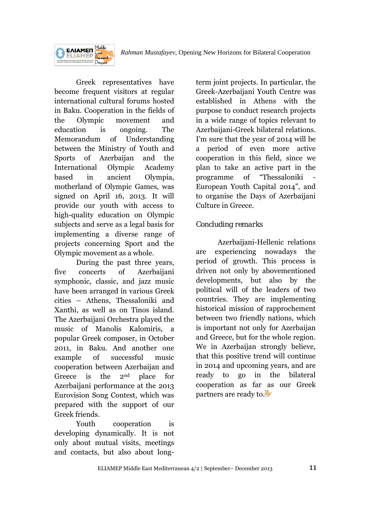*Rahman Mustafayev,* Opening New Horizons for Bilateral Cooperation



Greek representatives have become frequent visitors at regular international cultural forums hosted in Baku. Cooperation in the fields of the Olympic movement and education is ongoing. The Memorandum of Understanding between the Ministry of Youth and Sports of Azerbaijan and the International Olympic Academy based in ancient Olympia, motherland of Olympic Games, was signed on April 16, 2013. It will provide our youth with access to high-quality education on Olympic subjects and serve as a legal basis for implementing a diverse range of projects concerning Sport and the Olympic movement as a whole.

During the past three years, five concerts of Azerbaijani symphonic, classic, and jazz music have been arranged in various Greek cities – Athens, Thessaloniki and Xanthi, as well as on Tinos island. The Azerbaijani Orchestra played the music of Manolis Kalomiris, a popular Greek composer, in October 2011, in Baku. And another one example of successful music cooperation between Azerbaijan and Greece is the 2nd place for Azerbaijani performance at the 2013 Eurovision Song Contest, which was prepared with the support of our Greek friends.

Youth cooperation is developing dynamically. It is not only about mutual visits, meetings and contacts, but also about longterm joint projects. In particular, the Greek-Azerbaijani Youth Centre was established in Athens with the purpose to conduct research projects in a wide range of topics relevant to Azerbaijani-Greek bilateral relations. I'm sure that the year of 2014 will be a period of even more active cooperation in this field, since we plan to take an active part in the programme of "Thessaloniki European Youth Capital 2014", and to organise the Days of Azerbaijani Culture in Greece.

# *Concluding remarks*

Azerbaijani-Hellenic relations are experiencing nowadays the period of growth. This process is driven not only by abovementioned developments, but also by the political will of the leaders of two countries. They are implementing historical mission of rapprochement between two friendly nations, which is important not only for Azerbaijan and Greece, but for the whole region. We in Azerbaijan strongly believe, that this positive trend will continue in 2014 and upcoming years, and are ready to go in the bilateral cooperation as far as our Greek partners are ready to.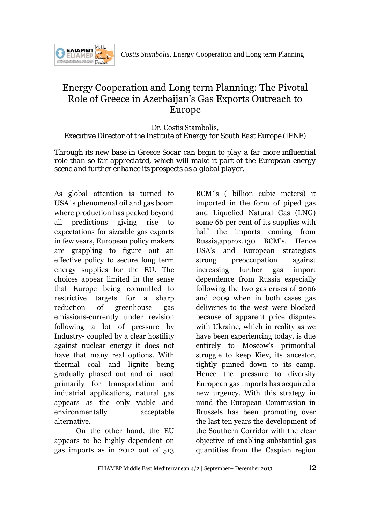

# Energy Cooperation and Long term Planning: The Pivotal Role of Greece in Azerbaijan's Gas Exports Outreach to Europe

Dr. Costis Stambolis, *Executive Director of the Institute of Energy for South East Europe (IENE)* 

*Through its new base in Greece Socar can begin to play a far more influential role than so far appreciated, which will make it part of the European energy scene and further enhance its prospects as a global player.* 

As global attention is turned to USA´s phenomenal oil and gas boom where production has peaked beyond all predictions giving rise to expectations for sizeable gas exports in few years, European policy makers are grappling to figure out an effective policy to secure long term energy supplies for the EU. The choices appear limited in the sense that Europe being committed to restrictive targets for a sharp reduction of greenhouse gas emissions-currently under revision following a lot of pressure by Industry- coupled by a clear hostility against nuclear energy it does not have that many real options. With thermal coal and lignite being gradually phased out and oil used primarily for transportation and industrial applications, natural gas appears as the only viable and environmentally acceptable alternative.

On the other hand, the EU appears to be highly dependent on gas imports as in 2012 out of 513

BCM´s ( billion cubic meters) it imported in the form of piped gas and Liquefied Natural Gas (LNG) some 66 per cent of its supplies with half the imports coming from Russia,approx.130 BCM's. Hence USA's and European strategists strong preoccupation against increasing further gas import dependence from Russia especially following the two gas crises of 2006 and 2009 when in both cases gas deliveries to the west were blocked because of apparent price disputes with Ukraine, which in reality as we have been experiencing today, is due entirely to Moscow's primordial struggle to keep Kiev, its ancestor, tightly pinned down to its camp. Hence the pressure to diversify European gas imports has acquired a new urgency. With this strategy in mind the European Commission in Brussels has been promoting over the last ten years the development of the Southern Corridor with the clear objective of enabling substantial gas quantities from the Caspian region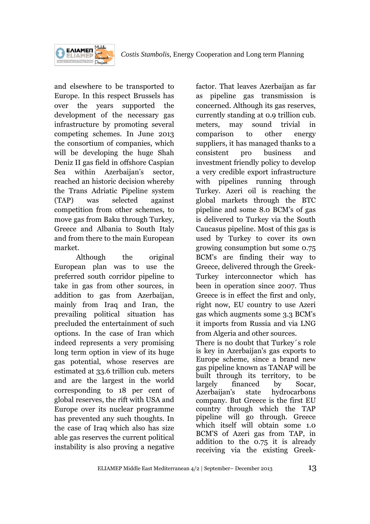

and elsewhere to be transported to Europe. In this respect Brussels has over the years supported the development of the necessary gas infrastructure by promoting several competing schemes. In June 2013 the consortium of companies, which will be developing the huge Shah Deniz II gas field in offshore Caspian Sea within Azerbaijan's sector, reached an historic decision whereby the Trans Adriatic Pipeline system (TAP) was selected against competition from other schemes, to move gas from Baku through Turkey, Greece and Albania to South Italy and from there to the main European market.

Although the original European plan was to use the preferred south corridor pipeline to take in gas from other sources, in addition to gas from Azerbaijan, mainly from Iraq and Iran, the prevailing political situation has precluded the entertainment of such options. In the case of Iran which indeed represents a very promising long term option in view of its huge gas potential, whose reserves are estimated at 33.6 trillion cub. meters and are the largest in the world corresponding to 18 per cent of global reserves, the rift with USA and Europe over its nuclear programme has prevented any such thoughts. In the case of Iraq which also has size able gas reserves the current political instability is also proving a negative

factor. That leaves Azerbaijan as far as pipeline gas transmission is concerned. Although its gas reserves, currently standing at 0.9 trillion cub. meters, may sound trivial in comparison to other energy suppliers, it has managed thanks to a consistent pro business and investment friendly policy to develop a very credible export infrastructure with pipelines running through Turkey. Azeri oil is reaching the global markets through the BTC pipeline and some 8.0 BCM's of gas is delivered to Turkey via the South Caucasus pipeline. Most of this gas is used by Turkey to cover its own growing consumption but some 0.75 BCM's are finding their way to Greece, delivered through the Greek-Turkey interconnector which has been in operation since 2007. Thus Greece is in effect the first and only, right now, EU country to use Azeri gas which augments some 3.3 BCM's it imports from Russia and via LNG from Algeria and other sources.

There is no doubt that Turkey´s role is key in Azerbaijan's gas exports to Europe scheme, since a brand new gas pipeline known as TANAP will be built through its territory, to be largely financed by Socar, Azerbaijan's state hydrocarbons company. But Greece is the first EU country through which the TAP pipeline will go through. Greece which itself will obtain some 1.0 BCM'S of Azeri gas from TAP, in addition to the 0.75 it is already receiving via the existing Greek-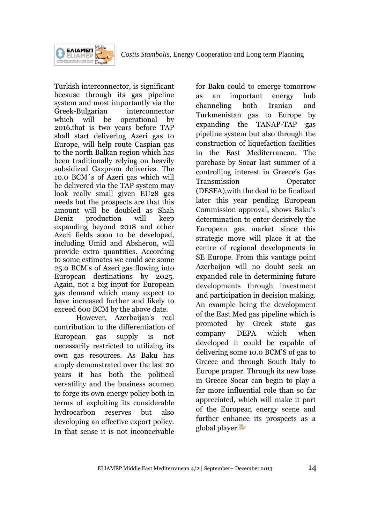

Turkish interconnector, is significant because through its gas pipeline system and most importantly via the Greek-Bulgarian interconnector which will be operational by 2016,that is two years before TAP shall start delivering Azeri gas to Europe, will help route Caspian gas to the north Balkan region which has been traditionally relying on heavily subsidized Gazprom deliveries. The 10.0 BCM´s of Azeri gas which will be delivered via the TAP system may look really small given EU28 gas needs but the prospects are that this amount will be doubled as Shah Deniz production will keep expanding beyond 2018 and other Azeri fields soon to be developed, including Umid and Absheron, will provide extra quantities. According to some estimates we could see some 25.0 BCM's of Azeri gas flowing into European destinations by 2025. Again, not a big input for European gas demand which many expect to have increased further and likely to exceed 600 BCM by the above date.

However, Azerbaijan's real contribution to the differentiation of European gas supply is not necessarily restricted to utilizing its own gas resources. As Baku has amply demonstrated over the last 20 years it has both the political versatility and the business acumen to forge its own energy policy both in terms of exploiting its considerable hydrocarbon reserves but also developing an effective export policy. In that sense it is not inconceivable

for Baku could to emerge tomorrow as an important energy hub channeling both Iranian and Turkmenistan gas to Europe by expanding the TANAP-TAP gas pipeline system but also through the construction of liquefaction facilities in the East Mediterranean. The purchase by Socar last summer of a controlling interest in Greece's Gas Transmission Operator (DESFA),with the deal to be finalized later this year pending European Commission approval, shows Baku's determination to enter decisively the European gas market since this strategic move will place it at the centre of regional developments in SE Europe. From this vantage point Azerbaijan will no doubt seek an expanded role in determining future developments through investment and participation in decision making. An example being the development of the East Med gas pipeline which is promoted by Greek state gas company DEPA which when developed it could be capable of delivering some 10.0 BCM'S of gas to Greece and through South Italy to Europe proper. Through its new base in Greece Socar can begin to play a far more influential role than so far appreciated, which will make it part of the European energy scene and further enhance its prospects as a global player.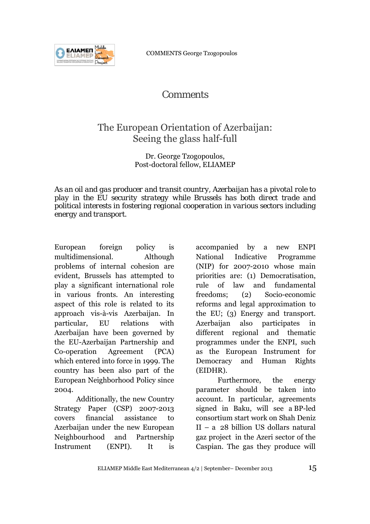COMMENTS George Tzogopoulos



# *Comments*

# The European Orientation of Azerbaijan: Seeing the glass half-full

### Dr. George Tzogopoulos, Post-doctoral fellow, ELIAMEP

*As an oil and gas producer and transit country, Azerbaijan has a pivotal role to play in the EU security strategy while Brussels has both direct trade and political interests in fostering regional cooperation in various sectors including energy and transport.* 

European foreign policy is multidimensional. Although problems of internal cohesion are evident, Brussels has attempted to play a significant international role in various fronts. An interesting aspect of this role is related to its approach vis-à-vis Azerbaijan. In particular, EU relations with Azerbaijan have been governed by the EU-Azerbaijan Partnership and Co-operation Agreement (PCA) which entered into force in 1999. The country has been also part of the European Neighborhood Policy since 2004.

Additionally, the new Country Strategy Paper (CSP) 2007-2013 covers financial assistance to Azerbaijan under the new European Neighbourhood and Partnership Instrument (ENPI). It is

accompanied by a new ENPI National Indicative Programme (NIP) for 2007-2010 whose main priorities are: (1) Democratisation, rule of law and fundamental freedoms; (2) Socio-economic reforms and legal approximation to the EU; (3) Energy and transport. Azerbaijan also participates different regional and thematic programmes under the ENPI, such as the European Instrument for Democracy and Human Rights (EIDHR).

Furthermore, the energy parameter should be taken into account. In particular, agreements signed in Baku, will see a BP-led consortium start work on Shah Deniz II – a 28 billion US dollars natural gaz project in the Azeri sector of the Caspian. The gas they produce will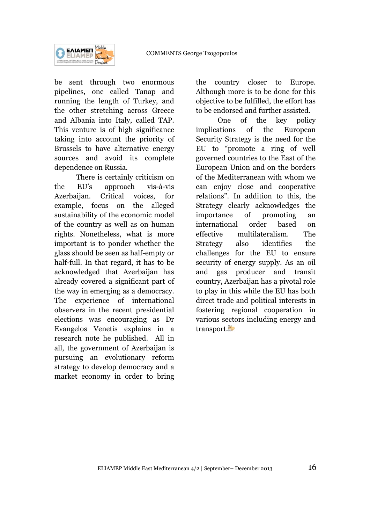

be sent through two enormous pipelines, one called Tanap and running the length of Turkey, and the other stretching across Greece and Albania into Italy, called TAP. This venture is of high significance taking into account the priority of Brussels to have alternative energy sources and avoid its complete dependence on Russia.

There is certainly criticism on the EU's approach vis-à-vis Azerbaijan. Critical voices, for example, focus on the alleged sustainability of the economic model of the country as well as on human rights. Nonetheless, what is more important is to ponder whether the glass should be seen as half-empty or half-full. In that regard, it has to be acknowledged that Azerbaijan has already covered a significant part of the way in emerging as a democracy. The experience of international observers in the recent presidential elections was encouraging as Dr Evangelos Venetis explains in a research note he published. All in all, the government of Azerbaijan is pursuing an evolutionary reform strategy to develop democracy and a market economy in order to bring the country closer to Europe. Although more is to be done for this objective to be fulfilled, the effort has to be endorsed and further assisted.

One of the key policy implications of the European Security Strategy is the need for the EU to "promote a ring of well governed countries to the East of the European Union and on the borders of the Mediterranean with whom we can enjoy close and cooperative relations". In addition to this, the Strategy clearly acknowledges the importance of promoting an international order based on effective multilateralism. The Strategy also identifies the challenges for the EU to ensure security of energy supply. As an oil and gas producer and transit country, Azerbaijan has a pivotal role to play in this while the EU has both direct trade and political interests in fostering regional cooperation in various sectors including energy and transport.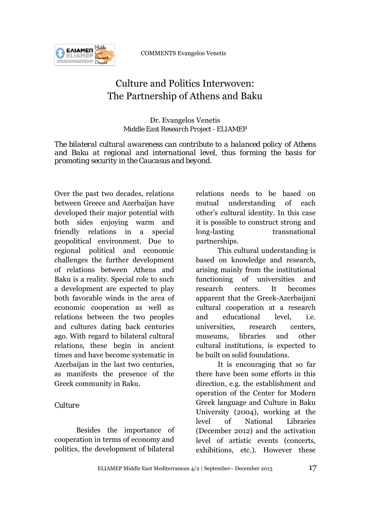

COMMENTS Evangelos Venetis

# Culture and Politics Interwoven: The Partnership of Athens and Baku

Dr. Evangelos Venetis *Middle East Research Project - ELIAMEP*

*The bilateral cultural awareness can contribute to a balanced policy of Athens and Baku at regional and international level, thus forming the basis for promoting security in the Caucasus and beyond.*

Over the past two decades, relations between Greece and Azerbaijan have developed their major potential with both sides enjoying warm and friendly relations in a special geopolitical environment. Due to regional political and economic challenges the further development of relations between Athens and Baku is a reality. Special role to such a development are expected to play both favorable winds in the area of economic cooperation as well as relations between the two peoples and cultures dating back centuries ago. With regard to bilateral cultural relations, these begin in ancient times and have become systematic in Azerbaijan in the last two centuries. as manifests the presence of the Greek community in Baku.

# *Culture*

Besides the importance of cooperation in terms of economy and politics, the development of bilateral

relations needs to be based on mutual understanding of each other's cultural identity. In this case it is possible to construct strong and long-lasting transnational partnerships.

This cultural understanding is based on knowledge and research, arising mainly from the institutional functioning of universities and research centers. It becomes apparent that the Greek-Azerbaijani cultural cooperation at a research and educational level, i.e. universities, research centers, museums, libraries and other cultural institutions, is expected to be built on solid foundations.

It is encouraging that so far there have been some efforts in this direction, e.g. the establishment and operation of the Center for Modern Greek language and Culture in Baku University (2004), working at the level of National Libraries (December 2012) and the activation level of artistic events (concerts, exhibitions, etc.). However these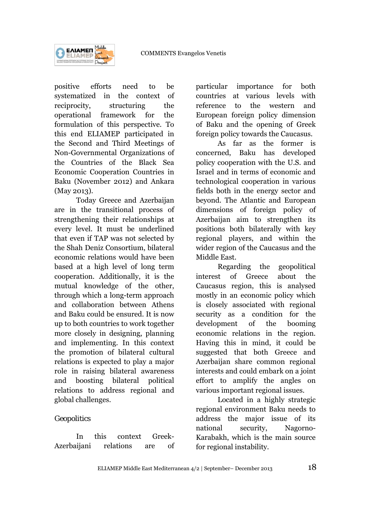

positive efforts need to be systematized in the context of reciprocity, structuring the operational framework for the formulation of this perspective. To this end ELIAMEP participated in the Second and Third Meetings of Non-Governmental Organizations of the Countries of the Black Sea Economic Cooperation Countries in Baku (November 2012) and Ankara (May 2013).

Today Greece and Azerbaijan are in the transitional process of strengthening their relationships at every level. It must be underlined that even if TAP was not selected by the Shah Deniz Consortium, bilateral economic relations would have been based at a high level of long term cooperation. Additionally, it is the mutual knowledge of the other, through which a long-term approach and collaboration between Athens and Baku could be ensured. It is now up to both countries to work together more closely in designing, planning and implementing. In this context the promotion of bilateral cultural relations is expected to play a major role in raising bilateral awareness and boosting bilateral political relations to address regional and global challenges.

# *Geopolitics*

In this context Greek-Azerbaijani relations are of particular importance for both countries at various levels with reference to the western and European foreign policy dimension of Baku and the opening of Greek foreign policy towards the Caucasus.

As far as the former is concerned, Baku has developed policy cooperation with the U.S. and Israel and in terms of economic and technological cooperation in various fields both in the energy sector and beyond. The Atlantic and European dimensions of foreign policy of Azerbaijan aim to strengthen its positions both bilaterally with key regional players, and within the wider region of the Caucasus and the Middle East.

Regarding the geopolitical interest of Greece about the Caucasus region, this is analysed mostly in an economic policy which is closely associated with regional security as a condition for the development of the booming economic relations in the region. Having this in mind, it could be suggested that both Greece and Azerbaijan share common regional interests and could embark on a joint effort to amplify the angles on various important regional issues.

Located in a highly strategic regional environment Baku needs to address the major issue of its national security, Nagorno-Karabakh, which is the main source for regional instability.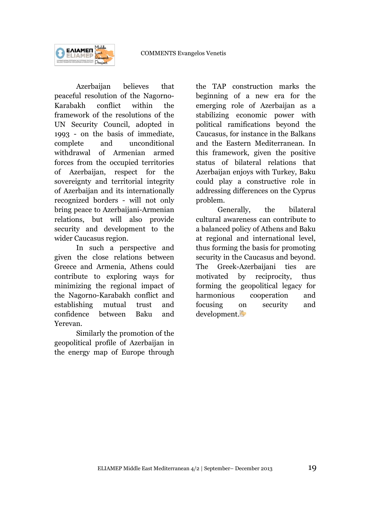

Azerbaijan believes that peaceful resolution of the Nagorno-Karabakh conflict within the framework of the resolutions of the UN Security Council, adopted in 1993 - on the basis of immediate, complete and unconditional withdrawal of Armenian armed forces from the occupied territories of Azerbaijan, respect for the sovereignty and territorial integrity of Azerbaijan and its internationally recognized borders - will not only bring peace to Azerbaijani-Armenian relations, but will also provide security and development to the wider Caucasus region.

In such a perspective and given the close relations between Greece and Armenia, Athens could contribute to exploring ways for minimizing the regional impact of the Nagorno-Karabakh conflict and establishing mutual trust and confidence between Baku and Yerevan.

Similarly the promotion of the geopolitical profile of Azerbaijan in the energy map of Europe through the TAP construction marks the beginning of a new era for the emerging role of Azerbaijan as a stabilizing economic power with political ramifications beyond the Caucasus, for instance in the Balkans and the Eastern Mediterranean. In this framework, given the positive status of bilateral relations that Azerbaijan enjoys with Turkey, Baku could play a constructive role in addressing differences on the Cyprus problem.

Generally, the bilateral cultural awareness can contribute to a balanced policy of Athens and Baku at regional and international level, thus forming the basis for promoting security in the Caucasus and beyond. The Greek-Azerbaijani ties are motivated by reciprocity, thus forming the geopolitical legacy for harmonious cooperation and focusing on security and development.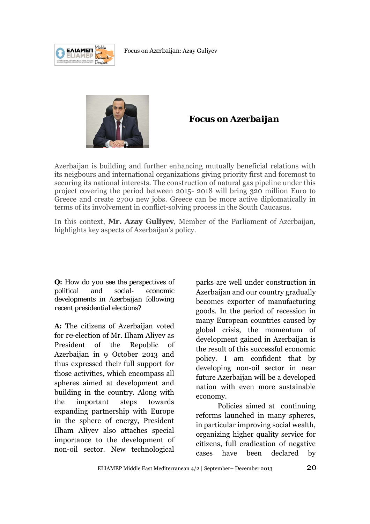



# **Focus on** *Azerbaijan*

Azerbaijan is building and further enhancing mutually beneficial relations with its neigbours and international organizations giving priority first and foremost to securing its national interests. The construction of natural gas pipeline under this project covering the period between 2015- 2018 will bring 320 million Euro to Greece and create 2700 new jobs. Greece can be more active diplomatically in terms of its involvement in conflict-solving process in the South Caucasus.

In this context, **Mr. Azay Guliyev**, Member of the Parliament of Azerbaijan, highlights key aspects of Azerbaijan's policy.

*Q: How do you see the perspectives of political and social- economic developments in Azerbaijan following recent presidential elections?* 

**A:** The citizens of Azerbaijan voted for *re-*election of Mr. Ilham Aliyev as President of the Republic of Azerbaijan in 9 October 2013 and thus expressed their full support for those activities, which encompass all spheres aimed at development and building in the country. Along with the important steps towards expanding partnership with Europe in the sphere of energy, President Ilham Aliyev also attaches special importance to the development of non-oil sector. New technological

parks are well under construction in Azerbaijan and our country gradually becomes exporter of manufacturing goods. In the period of recession in many European countries caused by global crisis, the momentum of development gained in Azerbaijan is the result of this successful economic policy. I am confident that by developing non-oil sector in near future Azerbaijan will be a developed nation with even more sustainable economy.

Policies aimed at continuing reforms launched in many spheres, in particular improving social wealth, organizing higher quality service for citizens, full eradication of negative cases have been declared by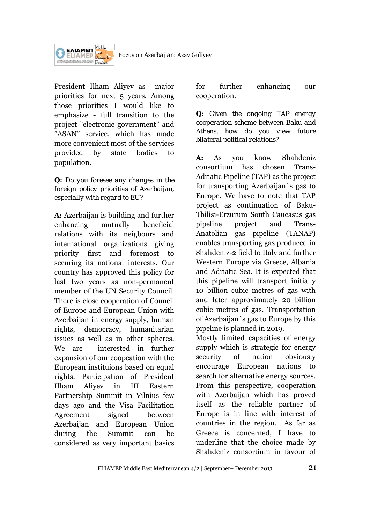

President Ilham Aliyev as major priorities for next 5 years. Among those priorities I would like to emphasize - full transition to the project "electronic government" and "ASAN" service, which has made more convenient most of the services provided by state bodies to population.

# *Q: Do you foresee any changes in the foreign policy priorities of Azerbaijan, especially with regard to EU?*

**A:** Azerbaijan is building and further enhancing mutually beneficial relations with its neigbours and international organizations giving priority first and foremost to securing its national interests. Our country has approved this policy for last two years as non-permanent member of the UN Security Council. There is close cooperation of Council of Europe and European Union with Azerbaijan in energy supply, human rights, democracy, humanitarian issues as well as in other spheres. We are interested in further expansion of our coopeation with the European instituions based on equal rights. Participation of President Ilham Aliyev in III Eastern Partnership Summit in Vilnius few days ago and the Visa Facilitation Agreement signed between Azerbaijan and European Union during the Summit can be considered as very important basics

for further enhancing our cooperation.

*Q: Given the ongoing TAP energy cooperation scheme between Baku and Athens, how do you view future bilateral political relations?* 

**A:** As you know Shahdeniz consortium has chosen Trans-Adriatic Pipeline (TAP) as the project for transporting Azerbaijan`s gas to Europe. We have to note that TAP project as continuation of Baku-Tbilisi-Erzurum South Caucasus gas pipeline project and Trans-Anatolian gas pipeline (TANAP) enables transporting gas produced in Shahdeniz-2 field to Italy and further Western Europe via Greece, Albania and Adriatic Sea. It is expected that this pipeline will transport initially 10 billion cubic metres of gas with and later approximately 20 billion cubic metres of gas. Transportation of Azerbaijan`s gas to Europe by this pipeline is planned in 2019.

Mostly limited capacities of energy supply which is strategic for energy security of nation obviously encourage European nations to search for alternative energy sources. From this perspective, cooperation with Azerbaijan which has proved itself as the reliable partner of Europe is in line with interest of countries in the region. As far as Greece is concerned, I have to underline that the choice made by Shahdeniz consortium in favour of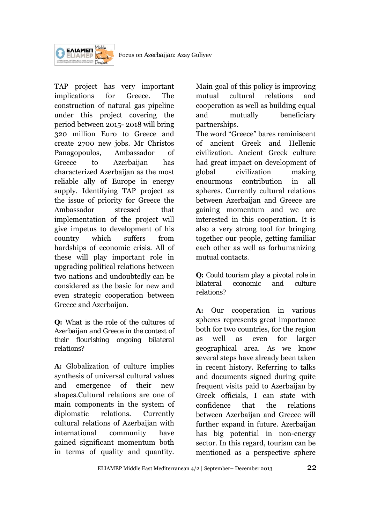

TAP project has very important implications for Greece. The construction of natural gas pipeline under this project covering the period between 2015- 2018 will bring 320 million Euro to Greece and create 2700 new jobs. Mr Christos Panagopoulos, Ambassador of Greece to Azerbaijan has characterized Azerbaijan as the most reliable ally of Europe in energy supply. Identifying TAP project as the issue of priority for Greece the Ambassador stressed that implementation of the project will give impetus to development of his country which suffers from hardships of economic crisis. All of these will play important role in upgrading political relations between two nations and undoubtedly can be considered as the basic for new and even strategic cooperation between Greece and Azerbaijan.

## *Q: What is the role of the cultures of Azerbaijan and Greece in the context of their flourishing ongoing bilateral relations?*

**A:** Globalization of culture implies synthesis of universal cultural values and emergence of their new shapes.Cultural relations are one of main components in the system of diplomatic relations. Currently cultural relations of Azerbaijan with international community have gained significant momentum both in terms of quality and quantity.

Main goal of this policy is improving mutual cultural relations and cooperation as well as building equal and mutually beneficiary partnerships.

The word "Greece" bares reminiscent of ancient Greek and Hellenic civilization. Ancient Greek culture had great impact on development of global civilization making enourmous contribution in all spheres. Currently cultural relations between Azerbaijan and Greece are gaining momentum and we are interested in this cooperation. It is also a very strong tool for bringing together our people, getting familiar each other as well as forhumanizing mutual contacts.

# *Q: Could tourism play a pivotal role in bilateral economic and culture relations?*

**A:** Our cooperation in various spheres represents great importance both for two countries, for the region as well as even for larger geographical area. As we know several steps have already been taken in recent history. Referring to talks and documents signed during quite frequent visits paid to Azerbaijan by Greek officials, I can state with confidence that the relations between Azerbaijan and Greece will further expand in future. Azerbaijan has big potential in non-energy sector. In this regard, tourism can be mentioned as a perspective sphere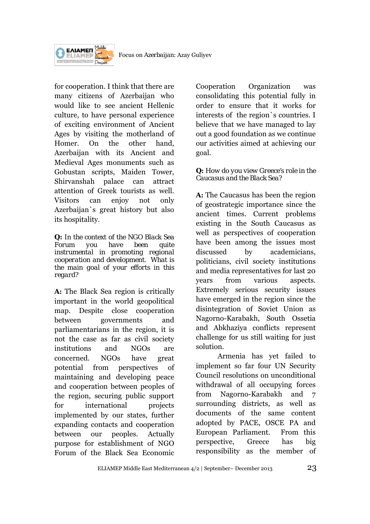

for cooperation. I think that there are many citizens of Azerbaijan who would like to see ancient Hellenic culture, to have personal experience of exciting environment of Ancient Ages by visiting the motherland of Homer. On the other hand, Azerbaijan with its Ancient and Medieval Ages monuments such as Gobustan scripts, Maiden Tower, Shirvanshah palace can attract attention of Greek tourists as well. Visitors can enjoy not only Azerbaijan`s great history but also its hospitality.

*Q: In the context of the NGO Black Sea Forum you have been quite instrumental in promoting regional cooperation and development. What is the main goal of your efforts in this regard?* 

**A:** The Black Sea region is critically important in the world geopolitical map. Despite close cooperation between governments and parliamentarians in the region, it is not the case as far as civil society institutions and NGOs are concerned. NGOs have great potential from perspectives of maintaining and developing peace and cooperation between peoples of the region, securing public support for international projects implemented by our states, further expanding contacts and cooperation between our peoples. Actually purpose for establishment of NGO Forum of the Black Sea Economic

Cooperation Organization was consolidating this potential fully in order to ensure that it works for interests of the region`s countries. I believe that we have managed to lay out a good foundation as we continue our activities aimed at achieving our goal.

### *Q: How do you view Greece's role in the Caucasus and the Black Sea?*

**A:** The Caucasus has been the region of geostrategic importance since the ancient times. Current problems existing in the South Caucasus as well as perspectives of cooperation have been among the issues most discussed by academicians, politicians, civil society institutions and media representatives for last 20 years from various aspects. Extremely serious security issues have emerged in the region since the disintegration of Soviet Union as Nagorno-Karabakh, South Ossetia and Abkhaziya conflicts represent challenge for us still waiting for just solution.

Armenia has yet failed to implement so far four UN Security Council resolutions on unconditional withdrawal of all occupying forces from Nagorno-Karabakh and 7 surrounding districts, as well as documents of the same content adopted by PACE, OSCE PA and European Parliament. From this perspective, Greece has big responsibility as the member of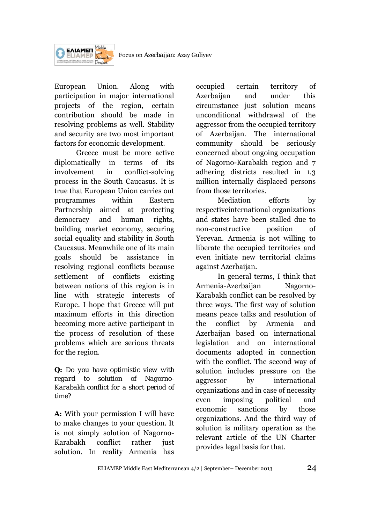Focus on *Azerbaijan*: Azay Guliyev



European Union. Along with participation in major international projects of the region, certain contribution should be made in resolving problems as well. Stability and security are two most important factors for economic development.

Greece must be more active diplomatically in terms of its involvement in conflict-solving process in the South Caucasus. It is true that European Union carries out programmes within Eastern Partnership aimed at protecting democracy and human rights, building market economy, securing social equality and stability in South Caucasus. Meanwhile one of its main goals should be assistance in resolving regional conflicts because settlement of conflicts existing between nations of this region is in line with strategic interests of Europe. I hope that Greece will put maximum efforts in this direction becoming more active participant in the process of resolution of these problems which are serious threats for the region.

*Q: Do you have optimistic view with regard to solution of Nagorno-Karabakh conflict for a short period of time?* 

**A:** With your permission I will have to make changes to your question. It is not simply solution of Nagorno-Karabakh conflict rather just solution. In reality Armenia has

occupied certain territory of Azerbaijan and under this circumstance just solution means unconditional withdrawal of the aggressor from the occupied territory of Azerbaijan. The international community should be seriously concerned about ongoing occupation of Nagorno-Karabakh region and 7 adhering districts resulted in 1.3 million internally displaced persons from those territories.

Mediation efforts by respectiveinternational organizations and states have been stalled due to non-constructive position of Yerevan. Armenia is not willing to liberate the occupied territories and even initiate new territorial claims against Azerbaijan.

In general terms, I think that Armenia-Azerbaijan Nagorno-Karabakh conflict can be resolved by three ways. The first way of solution means peace talks and resolution of the conflict by Armenia and Azerbaijan based on international legislation and on international documents adopted in connection with the conflict. The second way of solution includes pressure on the aggressor by international organizations and in case of necessity even imposing political and economic sanctions by those organizations. And the third way of solution is military operation as the relevant article of the UN Charter provides legal basis for that.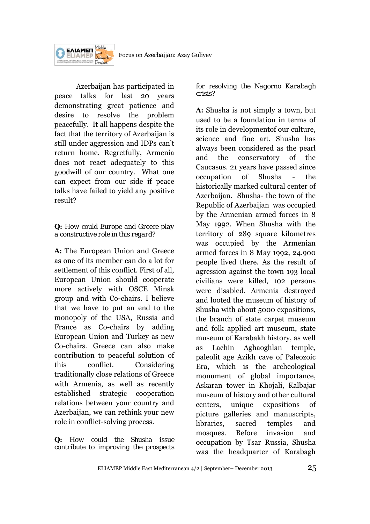Focus on *Azerbaijan*: Azay Guliyev



Azerbaijan has participated in peace talks for last 20 years demonstrating great patience and desire to resolve the problem peacefully. It all happens despite the fact that the territory of Azerbaijan is still under aggression and IDPs can't return home. Regretfully, Armenia does not react adequately to this goodwill of our country. What one can expect from our side if peace talks have failed to yield any positive result?

### *Q: How could Europe and Greece play a constructive role in this regard?*

**A:** The European Union and Greece as one of its member can do a lot for settlement of this conflict. First of all, European Union should cooperate more actively with OSCE Minsk group and with Co-chairs. I believe that we have to put an end to the monopoly of the USA, Russia and France as Co-chairs by adding European Union and Turkey as new Co-chairs. Greece can also make contribution to peaceful solution of this conflict. Considering traditionally close relations of Greece with Armenia, as well as recently established strategic cooperation relations between your country and Azerbaijan, we can rethink your new role in conflict-solving process.

*Q: How could the Shusha issue contribute to improving the prospects* 

### *for resolving the Nagorno Karabagh crisis?*

**A:** Shusha is not simply a town, but used to be a foundation in terms of its role in developmentof our culture, science and fine art. Shusha has always been considered as the pearl and the conservatory of the Caucasus. 21 years have passed since occupation of Shusha - the historically marked cultural center of Azerbaijan. Shusha- the town of the Republic of Azerbaijan was occupied by the Armenian armed forces in 8 May 1992. When Shusha with the territory of 289 square kilometres was occupied by the Armenian armed forces in 8 May 1992, 24.900 people lived there. As the result of agression against the town 193 local civilians were killed, 102 persons were disabled. Armenia destroyed and looted the museum of history of Shusha with about 5000 expositions, the branch of state carpet museum and folk applied art museum, state museum of Karabakh history, as well as Lachin Aghaoghlan temple, paleolit age Azikh cave of Paleozoic Era, which is the archeological monument of global importance, Askaran tower in Khojali, Kalbajar museum of history and other cultural centers, unique expositions of picture galleries and manuscripts, libraries, sacred temples and mosques. Before invasion and occupation by Tsar Russia, Shusha was the headquarter of Karabagh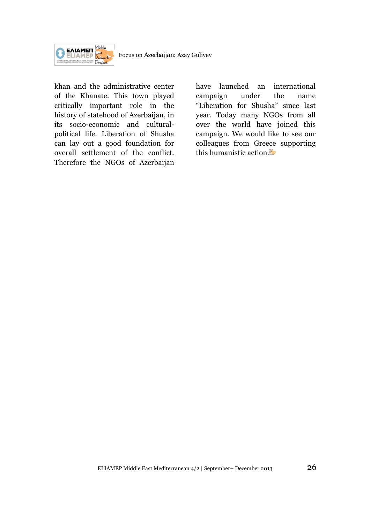

khan and the administrative center of the Khanate. This town played critically important role in the history of statehood of Azerbaijan, in its socio-economic and culturalpolitical life. Liberation of Shusha can lay out a good foundation for overall settlement of the conflict. Therefore the NGOs of Azerbaijan

have launched an international campaign under the name "Liberation for Shusha" since last year. Today many NGOs from all over the world have joined this campaign. We would like to see our colleagues from Greece supporting this humanistic action.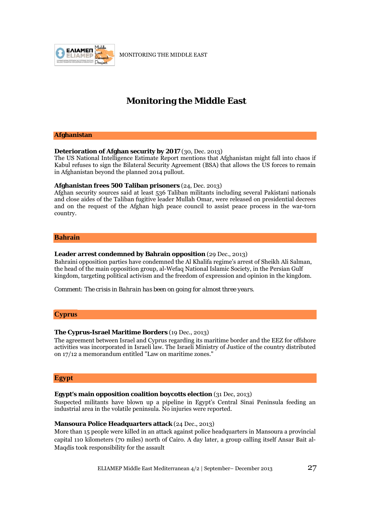

MONITORING THE MIDDLE EAST

# **Monitoring the Middle East**

#### **Afghanistan**

#### **Deterioration of Afghan security by 2017** (30, Dec. 2013)

The US National Intelligence Estimate Report mentions that Afghanistan might fall into chaos if Kabul refuses to sign the Bilateral Security Agreement (BSA) that allows the US forces to remain in Afghanistan beyond the planned 2014 pullout.

#### **Afghanistan frees 500 Taliban prisoners** (24, Dec. 2013)

Afghan security sources said at least 536 Taliban militants including several Pakistani nationals and close aides of the Taliban fugitive leader Mullah Omar, were released on presidential decrees and on the request of the Afghan high peace council to assist peace process in the war-torn country.

#### **Bahrain**

#### **Leader arrest condemned by Bahrain opposition** (29 Dec., 2013)

Bahraini opposition parties have condemned the Al Khalifa regime's arrest of Sheikh Ali Salman, the head of the main opposition group, al-Wefaq National Islamic Society, in the Persian Gulf kingdom, targeting political activism and the freedom of expression and opinion in the kingdom.

*Comment: The crisis in Bahrain has been on going for almost three years.* 

#### **Cyprus**

#### **The Cyprus-Israel Maritime Borders** (19 Dec., 2013)

Τhe agreement between Israel and Cyprus regarding its maritime border and the EEZ for offshore activities was incorporated in Israeli law. The Israeli Ministry of Justice of the country distributed on 17/12 a memorandum entitled "Law on maritime zones."

#### **Egypt**

#### **Egypt's main opposition coalition boycotts election** (31 Dec, 2013)

Suspected militants have blown up a pipeline in Egypt's Central Sinai Peninsula feeding an industrial area in the volatile peninsula. No injuries were reported.

#### **Mansoura Police Headquarters attack** (24 Dec., 2013)

More than 15 people were killed in an attack against police headquarters in Mansoura a provincial capital 110 kilometers (70 miles) north of Cairo. A day later, a group calling itself Ansar Bait al-Maqdis took responsibility for the assault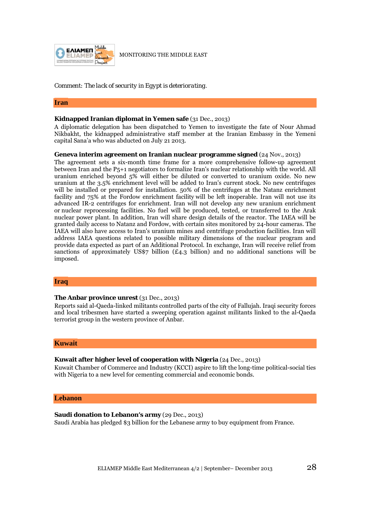

*Comment: The lack of security in Egypt is deteriorating.* 

#### **Iran**

#### **Kidnapped Iranian diplomat in Yemen safe** (31 Dec., 2013)

A diplomatic delegation has been dispatched to Yemen to investigate the fate of Nour Ahmad Nikbakht, the kidnapped administrative staff member at the Iranian Embassy in the Yemeni capital Sana'a who was abducted on July 21 2013.

#### **Geneva interim agreement on Iranian nuclear programme signed** (24 Nov., 2013)

The agreement sets a six-month time frame for a more comprehensive follow-up agreement between Iran and the P5+1 negotiators to formalize Iran's nuclear relationship with the world. All uranium enriched beyond 5% will either be diluted or converted to uranium oxide. No new uranium at the 3.5% enrichment level will be added to Iran's current stock. No new centrifuges will be installed or prepared for installation. 50% of the centrifuges at the Natanz enrichment facility and 75% at the Fordow enrichment facility will be left inoperable. Iran will not use its advanced IR-2 centrifuges for enrichment. Iran will not develop any new uranium enrichment or nuclear reprocessing facilities. No fuel will be produced, tested, or transferred to the Arak nuclear power plant. In addition, Iran will share design details of the reactor. The IAEA will be granted daily access to Natanz and Fordow, with certain sites monitored by 24-hour cameras. The IAEA will also have access to Iran's uranium mines and centrifuge production facilities. Iran will address IAEA questions related to possible military dimensions of the nuclear program and provide data expected as part of an Additional Protocol. In exchange, Iran will receive relief from sanctions of approximately US\$7 billion ( $E4.3$  billion) and no additional sanctions will be imposed.

#### **Iraq**

#### **The Anbar province unrest** (31 Dec., 2013)

Reports said al-Qaeda-linked militants controlled parts of the city of Fallujah. Iraqi security forces and local tribesmen have started a sweeping operation against militants linked to the al-Qaeda terrorist group in the western province of Anbar.

#### **Kuwait**

#### **Kuwait after higher level of cooperation with Nigeria** (24 Dec., 2013)

Kuwait Chamber of Commerce and Industry (KCCI) aspire to lift the long-time political-social ties with Nigeria to a new level for cementing commercial and economic bonds.

#### **Lebanon**

#### **Saudi donation to Lebanon's army** (29 Dec., 2013)

Saudi Arabia has pledged \$3 billion for the Lebanese army to buy equipment from France.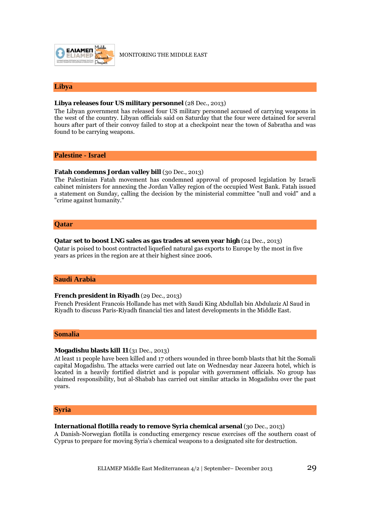

MONITORING THE MIDDLE EAST

#### **Libya**

#### **Libya releases four US military personnel** (28 Dec., 2013)

The Libyan government has released four US military personnel accused of carrying weapons in the west of the country. Libyan officials said on Saturday that the four were detained for several hours after part of their convoy failed to stop at a checkpoint near the town of Sabratha and was found to be carrying weapons.

#### **Palestine - Israel**

#### **Fatah condemns Jordan valley bill** (30 Dec., 2013)

The Palestinian Fatah movement has condemned approval of proposed legislation by Israeli cabinet ministers for annexing the Jordan Valley region of the occupied West Bank. Fatah issued a statement on Sunday, calling the decision by the ministerial committee "null and void" and a "crime against humanity."

#### **Qatar**

#### **Qatar set to boost LNG sales as gas trades at seven year high** (24 Dec., 2013)

Qatar is poised to boost contracted liquefied natural gas exports to Europe by the most in five years as prices in the region are at their highest since 2006.

#### **Saudi Arabia**

#### **French president in Riyadh** (29 Dec., 2013)

French President Francois Hollande has met with Saudi King Abdullah bin Abdulaziz Al Saud in Riyadh to discuss Paris-Riyadh financial ties and latest developments in the Middle East.

#### **Somalia**

#### **Mogadishu blasts kill 11** (31 Dec., 2013)

At least 11 people have been killed and 17 others wounded in three bomb blasts that hit the Somali capital Mogadishu. The attacks were carried out late on Wednesday near Jazeera hotel, which is located in a heavily fortified district and is popular with government officials. No group has claimed responsibility, but al-Shabab has carried out similar attacks in Mogadishu over the past years.

#### **Syria**

#### **International flotilla ready to remove Syria chemical arsenal** (30 Dec., 2013)

A Danish-Norwegian flotilla is conducting emergency rescue exercises off the southern coast of Cyprus to prepare for moving Syria's chemical weapons to a designated site for destruction.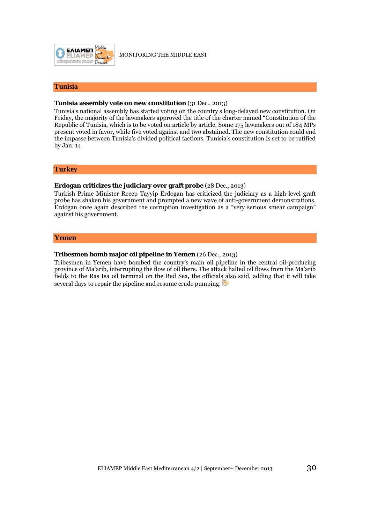

#### **Tunisia**

#### **Tunisia assembly vote on new constitution** (31 Dec., 2013)

Tunisia's national assembly has started voting on the country's long-delayed new constitution. On Friday, the majority of the lawmakers approved the title of the charter named "Constitution of the Republic of Tunisia, which is to be voted on article by article. Some 175 lawmakers out of 184 MPs present voted in favor, while five voted against and two abstained. The new constitution could end the impasse between Tunisia's divided political factions. Tunisia's constitution is set to be ratified by Jan. 14.

#### **Turkey**

#### **Erdogan criticizes the judiciary over graft probe** (28 Dec., 2013)

Turkish Prime Minister Recep Tayyip Erdogan has criticized the judiciary as a high-level graft probe has shaken his government and prompted a new wave of anti-government demonstrations. Erdogan once again described the corruption investigation as a "very serious smear campaign" against his government.

#### **Yemen**

#### **Tribesmen bomb major oil pipeline in Yemen** (26 Dec., 2013)

Tribesmen in Yemen have bombed the country's main oil pipeline in the central oil-producing province of Ma'arib, interrupting the flow of oil there. The attack halted oil flows from the Ma'arib fields to the Ras Isa oil terminal on the Red Sea, the officials also said, adding that it will take several days to repair the pipeline and resume crude pumping.